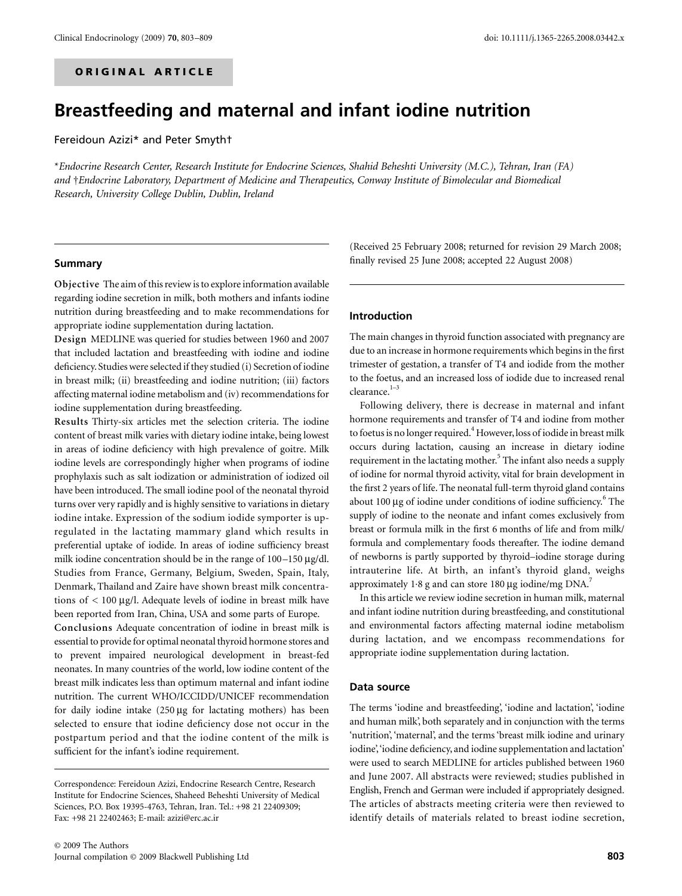# ORIGINAL ARTICLE

# Breastfeeding and maternal and infant iodine nutrition

#### Fereidoun Azizi\* and Peter Smyth†

\**Endocrine Research Center, Research Institute for Endocrine Sciences, Shahid Beheshti University (M.C.), Tehran, Iran (FA) and* †*Endocrine Laboratory, Department of Medicine and Therapeutics, Conway Institute of Bimolecular and Biomedical Research, University College Dublin, Dublin, Ireland*

#### **Summary**

**Objective** The aim of this review is to explore information available regarding iodine secretion in milk, both mothers and infants iodine nutrition during breastfeeding and to make recommendations for appropriate iodine supplementation during lactation.

**Design** MEDLINE was queried for studies between 1960 and 2007 that included lactation and breastfeeding with iodine and iodine deficiency. Studies were selected if they studied (i) Secretion of iodine in breast milk; (ii) breastfeeding and iodine nutrition; (iii) factors affecting maternal iodine metabolism and (iv) recommendations for iodine supplementation during breastfeeding.

**Results** Thirty-six articles met the selection criteria. The iodine content of breast milk varies with dietary iodine intake, being lowest in areas of iodine deficiency with high prevalence of goitre. Milk iodine levels are correspondingly higher when programs of iodine prophylaxis such as salt iodization or administration of iodized oil have been introduced. The small iodine pool of the neonatal thyroid turns over very rapidly and is highly sensitive to variations in dietary iodine intake. Expression of the sodium iodide symporter is upregulated in the lactating mammary gland which results in preferential uptake of iodide. In areas of iodine sufficiency breast milk iodine concentration should be in the range of 100–150 μg/dl. Studies from France, Germany, Belgium, Sweden, Spain, Italy, Denmark, Thailand and Zaire have shown breast milk concentrations of < 100 μg/l. Adequate levels of iodine in breast milk have been reported from Iran, China, USA and some parts of Europe.

**Conclusions** Adequate concentration of iodine in breast milk is essential to provide for optimal neonatal thyroid hormone stores and to prevent impaired neurological development in breast-fed neonates. In many countries of the world, low iodine content of the breast milk indicates less than optimum maternal and infant iodine nutrition. The current WHO/ICCIDD/UNICEF recommendation for daily iodine intake (250 μg for lactating mothers) has been selected to ensure that iodine deficiency dose not occur in the postpartum period and that the iodine content of the milk is sufficient for the infant's iodine requirement.

(Received 25 February 2008; returned for revision 29 March 2008; finally revised 25 June 2008; accepted 22 August 2008)

#### **Introduction**

The main changes in thyroid function associated with pregnancy are due to an increase in hormone requirements which begins in the first trimester of gestation, a transfer of T4 and iodide from the mother to the foetus, and an increased loss of iodide due to increased renal  $cleanance.<sup>1–3</sup>$ 

Following delivery, there is decrease in maternal and infant hormone requirements and transfer of T4 and iodine from mother to foetus is no longer required.<sup>4</sup> However, loss of iodide in breast milk occurs during lactation, causing an increase in dietary iodine requirement in the lactating mother.<sup>5</sup> The infant also needs a supply of iodine for normal thyroid activity, vital for brain development in the first 2 years of life. The neonatal full-term thyroid gland contains about 100 μg of iodine under conditions of iodine sufficiency.<sup>6</sup> The supply of iodine to the neonate and infant comes exclusively from breast or formula milk in the first 6 months of life and from milk/ formula and complementary foods thereafter. The iodine demand of newborns is partly supported by thyroid–iodine storage during intrauterine life. At birth, an infant's thyroid gland, weighs approximately 1·8 g and can store 180 μg iodine/mg DNA.7

In this article we review iodine secretion in human milk, maternal and infant iodine nutrition during breastfeeding, and constitutional and environmental factors affecting maternal iodine metabolism during lactation, and we encompass recommendations for appropriate iodine supplementation during lactation.

#### **Data source**

The terms 'iodine and breastfeeding', 'iodine and lactation', 'iodine and human milk', both separately and in conjunction with the terms 'nutrition', 'maternal', and the terms 'breast milk iodine and urinary iodine', 'iodine deficiency, and iodine supplementation and lactation' were used to search MEDLINE for articles published between 1960 and June 2007. All abstracts were reviewed; studies published in English, French and German were included if appropriately designed. The articles of abstracts meeting criteria were then reviewed to identify details of materials related to breast iodine secretion,

Correspondence: Fereidoun Azizi, Endocrine Research Centre, Research Institute for Endocrine Sciences, Shaheed Beheshti University of Medical Sciences, P.O. Box 19395-4763, Tehran, Iran. Tel.: +98 21 22409309; Fax: +98 21 22402463; E-mail: azizi@erc.ac.ir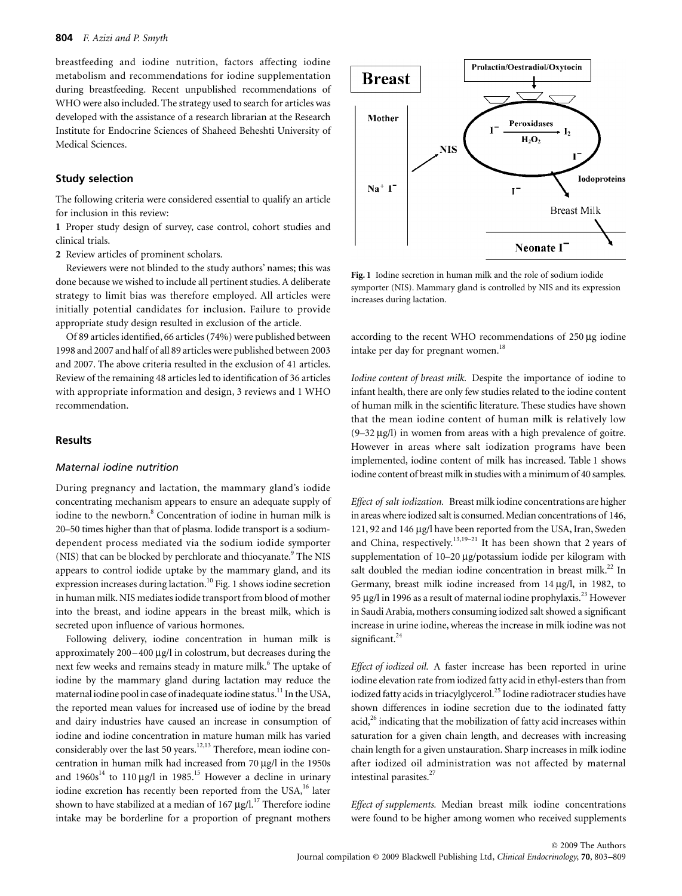breastfeeding and iodine nutrition, factors affecting iodine metabolism and recommendations for iodine supplementation during breastfeeding. Recent unpublished recommendations of WHO were also included. The strategy used to search for articles was developed with the assistance of a research librarian at the Research Institute for Endocrine Sciences of Shaheed Beheshti University of Medical Sciences.

#### **Study selection**

The following criteria were considered essential to qualify an article for inclusion in this review:

**1** Proper study design of survey, case control, cohort studies and clinical trials.

**2** Review articles of prominent scholars.

Reviewers were not blinded to the study authors' names; this was done because we wished to include all pertinent studies. A deliberate strategy to limit bias was therefore employed. All articles were initially potential candidates for inclusion. Failure to provide appropriate study design resulted in exclusion of the article.

Of 89 articles identified, 66 articles (74%) were published between 1998 and 2007 and half of all 89 articles were published between 2003 and 2007. The above criteria resulted in the exclusion of 41 articles. Review of the remaining 48 articles led to identification of 36 articles with appropriate information and design, 3 reviews and 1 WHO recommendation.

#### **Results**

#### *Maternal iodine nutrition*

During pregnancy and lactation, the mammary gland's iodide concentrating mechanism appears to ensure an adequate supply of iodine to the newborn.<sup>8</sup> Concentration of iodine in human milk is 20–50 times higher than that of plasma. Iodide transport is a sodiumdependent process mediated via the sodium iodide symporter (NIS) that can be blocked by perchlorate and thiocyanate.<sup>9</sup> The NIS appears to control iodide uptake by the mammary gland, and its expression increases during lactation.<sup>10</sup> Fig. 1 shows iodine secretion in human milk. NIS mediates iodide transport from blood of mother into the breast, and iodine appears in the breast milk, which is secreted upon influence of various hormones.

Following delivery, iodine concentration in human milk is approximately 200–400 μg/l in colostrum, but decreases during the next few weeks and remains steady in mature milk.<sup>6</sup> The uptake of iodine by the mammary gland during lactation may reduce the maternal iodine pool in case of inadequate iodine status.<sup>11</sup> In the USA, the reported mean values for increased use of iodine by the bread and dairy industries have caused an increase in consumption of iodine and iodine concentration in mature human milk has varied considerably over the last 50 years.<sup>12,13</sup> Therefore, mean iodine concentration in human milk had increased from 70 μg/l in the 1950s and  $1960s^{14}$  to  $110 \mu g/l$  in 1985.<sup>15</sup> However a decline in urinary iodine excretion has recently been reported from the USA,<sup>16</sup> later shown to have stabilized at a median of 167  $\mu$ g/l.<sup>17</sup> Therefore iodine intake may be borderline for a proportion of pregnant mothers



**Fig. 1** Iodine secretion in human milk and the role of sodium iodide symporter (NIS). Mammary gland is controlled by NIS and its expression increases during lactation.

according to the recent WHO recommendations of 250 μg iodine intake per day for pregnant women.<sup>18</sup>

*Iodine content of breast milk.* Despite the importance of iodine to infant health, there are only few studies related to the iodine content of human milk in the scientific literature. These studies have shown that the mean iodine content of human milk is relatively low (9–32 μg/l) in women from areas with a high prevalence of goitre. However in areas where salt iodization programs have been implemented, iodine content of milk has increased. Table 1 shows iodine content of breast milk in studies with a minimum of 40 samples.

*Effect of salt iodization.* Breast milk iodine concentrations are higher in areas where iodized salt is consumed. Median concentrations of 146, 121, 92 and 146 μg/l have been reported from the USA, Iran, Sweden and China, respectively.<sup>13,19–21</sup> It has been shown that 2 years of supplementation of 10–20 μg/potassium iodide per kilogram with salt doubled the median iodine concentration in breast milk.<sup>22</sup> In Germany, breast milk iodine increased from 14 μg/l, in 1982, to 95 μg/l in 1996 as a result of maternal iodine prophylaxis.23 However in Saudi Arabia, mothers consuming iodized salt showed a significant increase in urine iodine, whereas the increase in milk iodine was not significant.<sup>24</sup>

*Effect of iodized oil.* A faster increase has been reported in urine iodine elevation rate from iodized fatty acid in ethyl-esters than from iodized fatty acids in triacylglycerol.<sup>25</sup> Iodine radiotracer studies have shown differences in iodine secretion due to the iodinated fatty  $\text{acid}$ <sup>26</sup> indicating that the mobilization of fatty acid increases within saturation for a given chain length, and decreases with increasing chain length for a given unstauration. Sharp increases in milk iodine after iodized oil administration was not affected by maternal intestinal parasites.<sup>27</sup>

*Effect of supplements.* Median breast milk iodine concentrations were found to be higher among women who received supplements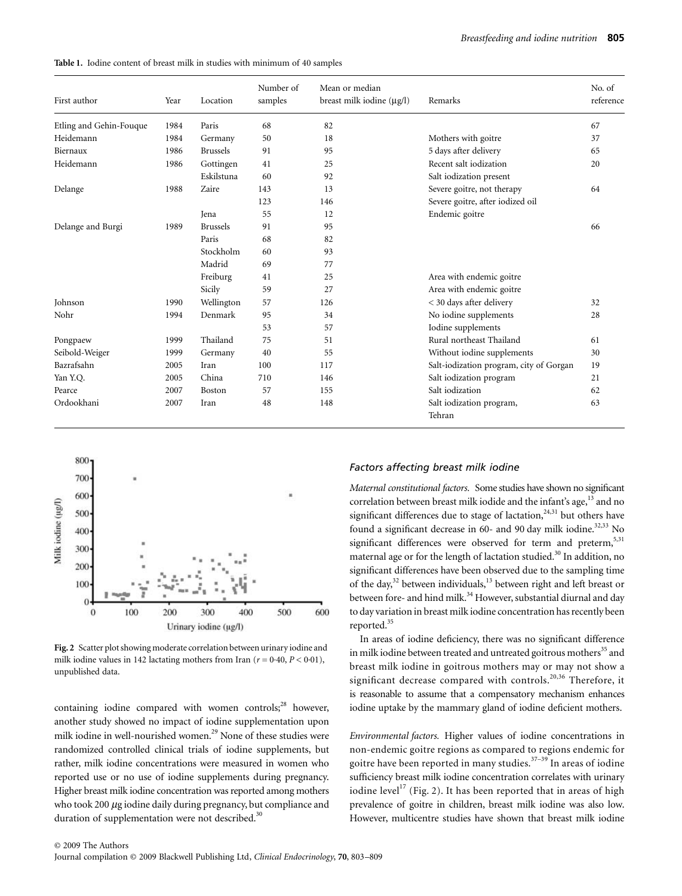**Table 1.** Iodine content of breast milk in studies with minimum of 40 samples

| First author            | Year | Location        | Number of<br>samples | Mean or median<br>breast milk iodine $(\mu g/l)$ | Remarks                                 | No. of<br>reference |
|-------------------------|------|-----------------|----------------------|--------------------------------------------------|-----------------------------------------|---------------------|
| Etling and Gehin-Fouque | 1984 | Paris           | 68                   | 82                                               |                                         | 67                  |
| Heidemann               | 1984 | Germany         | 50                   | 18                                               | Mothers with goitre                     | 37                  |
| Biernaux                | 1986 | <b>Brussels</b> | 91                   | 95                                               | 5 days after delivery                   | 65                  |
| Heidemann               | 1986 | Gottingen       | 41                   | 25                                               | Recent salt iodization                  | 20                  |
|                         |      | Eskilstuna      | 60                   | 92                                               | Salt iodization present                 |                     |
| Delange                 | 1988 | Zaire           | 143                  | 13                                               | Severe goitre, not therapy              | 64                  |
|                         |      |                 | 123                  | 146                                              | Severe goitre, after iodized oil        |                     |
|                         |      | Jena            | 55                   | 12                                               | Endemic goitre                          |                     |
| Delange and Burgi       | 1989 | <b>Brussels</b> | 91                   | 95                                               |                                         | 66                  |
|                         |      | Paris           | 68                   | 82                                               |                                         |                     |
|                         |      | Stockholm       | 60                   | 93                                               |                                         |                     |
|                         |      | Madrid          | 69                   | 77                                               |                                         |                     |
|                         |      | Freiburg        | 41                   | 25                                               | Area with endemic goitre                |                     |
|                         |      | Sicily          | 59                   | 27                                               | Area with endemic goitre                |                     |
| <b>Johnson</b>          | 1990 | Wellington      | 57                   | 126                                              | < 30 days after delivery                | 32                  |
| Nohr                    | 1994 | Denmark         | 95                   | 34                                               | No iodine supplements                   | 28                  |
|                         |      |                 | 53                   | 57                                               | Iodine supplements                      |                     |
| Pongpaew                | 1999 | Thailand        | 75                   | 51                                               | Rural northeast Thailand                | 61                  |
| Seibold-Weiger          | 1999 | Germany         | 40                   | 55                                               | Without iodine supplements              | 30                  |
| Bazrafsahn              | 2005 | Iran            | 100                  | 117                                              | Salt-iodization program, city of Gorgan | 19                  |
| Yan Y.O.                | 2005 | China           | 710                  | 146                                              | Salt iodization program                 | 21                  |
| Pearce                  | 2007 | Boston          | 57                   | 155                                              | Salt iodization                         | 62                  |
| Ordookhani              | 2007 | Iran            | 48                   | 148                                              | Salt iodization program,<br>Tehran      | 63                  |



**Fig. 2** Scatter plot showing moderate correlation between urinary iodine and milk iodine values in 142 lactating mothers from Iran (*r* = 0·40, *P* < 0·01), unpublished data.

containing iodine compared with women controls; $^{28}$  however, another study showed no impact of iodine supplementation upon milk iodine in well-nourished women.<sup>29</sup> None of these studies were randomized controlled clinical trials of iodine supplements, but rather, milk iodine concentrations were measured in women who reported use or no use of iodine supplements during pregnancy. Higher breast milk iodine concentration was reported among mothers who took 200 μg iodine daily during pregnancy, but compliance and duration of supplementation were not described. $30$ 

#### *Factors affecting breast milk iodine*

*Maternal constitutional factors.* Some studies have shown no significant correlation between breast milk iodide and the infant's age,<sup>13</sup> and no significant differences due to stage of lactation, $24,31$  but others have found a significant decrease in 60- and 90 day milk iodine.<sup>32,33</sup> No significant differences were observed for term and preterm,<sup>5,31</sup> maternal age or for the length of lactation studied.<sup>30</sup> In addition, no significant differences have been observed due to the sampling time of the day, $32$  between individuals, $13$  between right and left breast or between fore- and hind milk.<sup>34</sup> However, substantial diurnal and day to day variation in breast milk iodine concentration has recently been reported.<sup>35</sup>

In areas of iodine deficiency, there was no significant difference in milk iodine between treated and untreated goitrous mothers<sup>35</sup> and breast milk iodine in goitrous mothers may or may not show a significant decrease compared with controls.<sup>20,36</sup> Therefore, it is reasonable to assume that a compensatory mechanism enhances iodine uptake by the mammary gland of iodine deficient mothers.

*Environmental factors.* Higher values of iodine concentrations in non-endemic goitre regions as compared to regions endemic for goitre have been reported in many studies.37–39 In areas of iodine sufficiency breast milk iodine concentration correlates with urinary iodine level<sup>17</sup> (Fig. 2). It has been reported that in areas of high prevalence of goitre in children, breast milk iodine was also low. However, multicentre studies have shown that breast milk iodine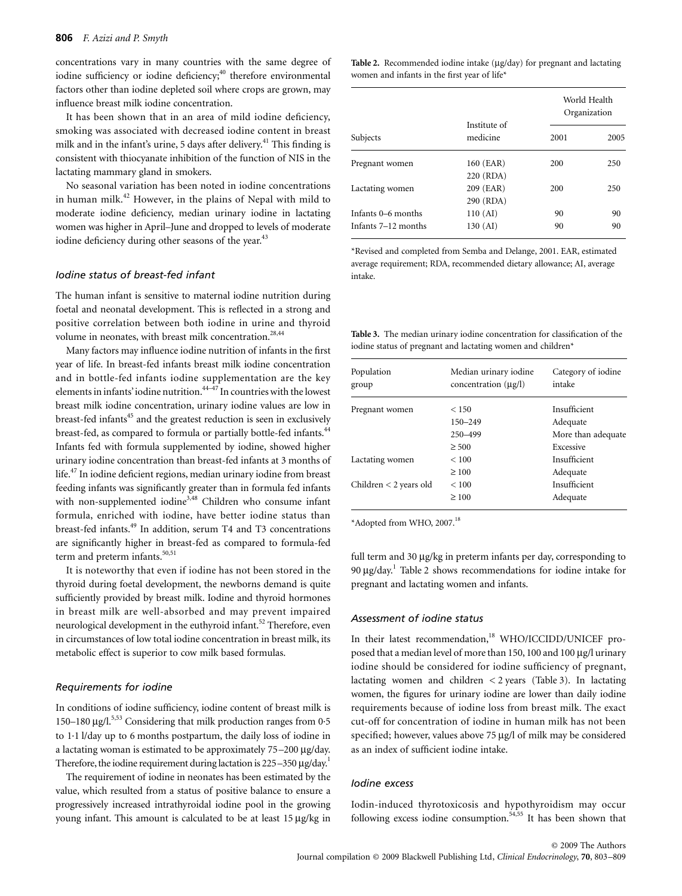concentrations vary in many countries with the same degree of iodine sufficiency or iodine deficiency;<sup>40</sup> therefore environmental factors other than iodine depleted soil where crops are grown, may influence breast milk iodine concentration.

It has been shown that in an area of mild iodine deficiency, smoking was associated with decreased iodine content in breast milk and in the infant's urine, 5 days after delivery.<sup>41</sup> This finding is consistent with thiocyanate inhibition of the function of NIS in the lactating mammary gland in smokers.

No seasonal variation has been noted in iodine concentrations in human milk.<sup>42</sup> However, in the plains of Nepal with mild to moderate iodine deficiency, median urinary iodine in lactating women was higher in April–June and dropped to levels of moderate iodine deficiency during other seasons of the year.<sup>43</sup>

## *Iodine status of breast-fed infant*

The human infant is sensitive to maternal iodine nutrition during foetal and neonatal development. This is reflected in a strong and positive correlation between both iodine in urine and thyroid volume in neonates, with breast milk concentration.<sup>28,44</sup>

Many factors may influence iodine nutrition of infants in the first year of life. In breast-fed infants breast milk iodine concentration and in bottle-fed infants iodine supplementation are the key elements in infants' iodine nutrition. $44-\overline{47}$  In countries with the lowest breast milk iodine concentration, urinary iodine values are low in breast-fed infants<sup>45</sup> and the greatest reduction is seen in exclusively breast-fed, as compared to formula or partially bottle-fed infants.<sup>44</sup> Infants fed with formula supplemented by iodine, showed higher urinary iodine concentration than breast-fed infants at 3 months of life.47 In iodine deficient regions, median urinary iodine from breast feeding infants was significantly greater than in formula fed infants with non-supplemented iodine<sup>3,48</sup> Children who consume infant formula, enriched with iodine, have better iodine status than breast-fed infants.49 In addition, serum T4 and T3 concentrations are significantly higher in breast-fed as compared to formula-fed term and preterm infants.<sup>50,51</sup>

It is noteworthy that even if iodine has not been stored in the thyroid during foetal development, the newborns demand is quite sufficiently provided by breast milk. Iodine and thyroid hormones in breast milk are well-absorbed and may prevent impaired neurological development in the euthyroid infant.<sup>52</sup> Therefore, even in circumstances of low total iodine concentration in breast milk, its metabolic effect is superior to cow milk based formulas.

#### *Requirements for iodine*

In conditions of iodine sufficiency, iodine content of breast milk is 150–180 μg/l.5,53 Considering that milk production ranges from 0·5 to 1·1 l/day up to 6 months postpartum, the daily loss of iodine in a lactating woman is estimated to be approximately 75–200 μg/day. Therefore, the iodine requirement during lactation is  $225-350 \mu g/day$ .<sup>1</sup>

The requirement of iodine in neonates has been estimated by the value, which resulted from a status of positive balance to ensure a progressively increased intrathyroidal iodine pool in the growing young infant. This amount is calculated to be at least 15 μg/kg in

**Table 2.** Recommended iodine intake (μg/day) for pregnant and lactating women and infants in the first year of life\*

|                     |                          | World Health<br>Organization |      |
|---------------------|--------------------------|------------------------------|------|
| Subjects            | Institute of<br>medicine | 2001                         | 2005 |
| Pregnant women      | 160 (EAR)                | 200                          | 250  |
|                     | 220 (RDA)                |                              |      |
| Lactating women     | 209 (EAR)<br>290 (RDA)   | 200                          | 250  |
| Infants 0–6 months  | 110(AI)                  | 90                           | 90   |
| Infants 7–12 months | 130 (AI)                 | 90                           | 90   |

\*Revised and completed from Semba and Delange, 2001. EAR, estimated average requirement; RDA, recommended dietary allowance; AI, average intake.

**Table 3.** The median urinary iodine concentration for classification of the iodine status of pregnant and lactating women and children\*

| Population<br>group      | Median urinary iodine<br>concentration $(\mu g/l)$ | Category of iodine<br>intake |
|--------------------------|----------------------------------------------------|------------------------------|
| Pregnant women           | < 150                                              | Insufficient                 |
|                          | $150 - 249$                                        | Adequate                     |
|                          | 250-499                                            | More than adequate           |
|                          | $\geq 500$                                         | Excessive                    |
| Lactating women          | < 100                                              | Insufficient                 |
|                          | $\geq 100$                                         | Adequate                     |
| Children $<$ 2 years old | ${}_{< 100}$                                       | Insufficient                 |
|                          | $\geq 100$                                         | Adequate                     |

\*Adopted from WHO, 2007.<sup>18</sup>

full term and 30 μg/kg in preterm infants per day, corresponding to 90 μg/day.<sup>1</sup> Table 2 shows recommendations for iodine intake for pregnant and lactating women and infants.

#### *Assessment of iodine status*

In their latest recommendation,<sup>18</sup> WHO/ICCIDD/UNICEF proposed that a median level of more than 150, 100 and 100 μg/l urinary iodine should be considered for iodine sufficiency of pregnant, lactating women and children  $\langle 2 \rangle$  years (Table 3). In lactating women, the figures for urinary iodine are lower than daily iodine requirements because of iodine loss from breast milk. The exact cut-off for concentration of iodine in human milk has not been specified; however, values above 75 μg/l of milk may be considered as an index of sufficient iodine intake.

#### *Iodine excess*

Iodin-induced thyrotoxicosis and hypothyroidism may occur following excess iodine consumption.<sup>54,55</sup> It has been shown that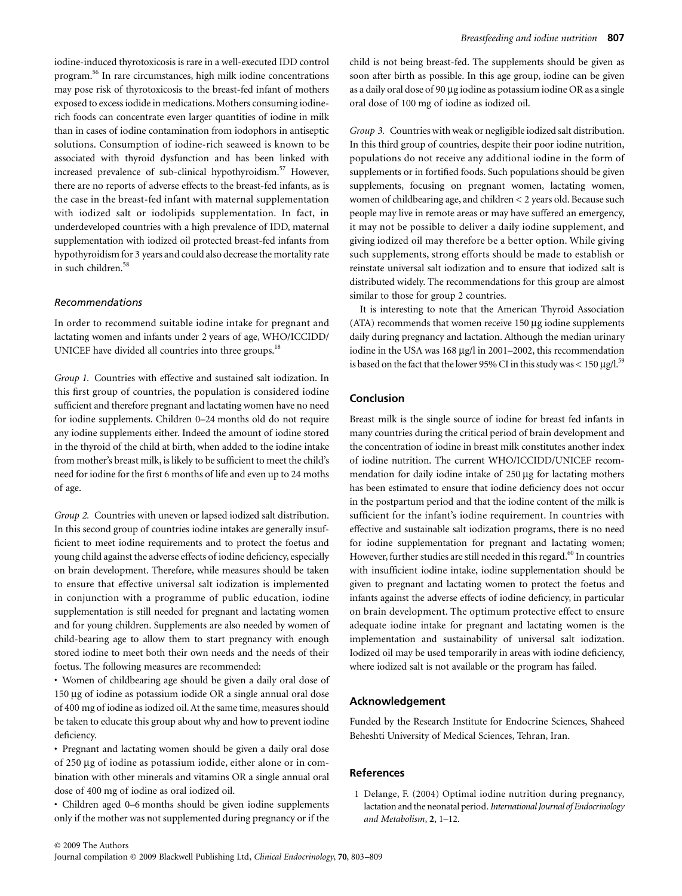iodine-induced thyrotoxicosis is rare in a well-executed IDD control program.56 In rare circumstances, high milk iodine concentrations may pose risk of thyrotoxicosis to the breast-fed infant of mothers exposed to excess iodide in medications. Mothers consuming iodinerich foods can concentrate even larger quantities of iodine in milk than in cases of iodine contamination from iodophors in antiseptic solutions. Consumption of iodine-rich seaweed is known to be associated with thyroid dysfunction and has been linked with increased prevalence of sub-clinical hypothyroidism.<sup>57</sup> However, there are no reports of adverse effects to the breast-fed infants, as is the case in the breast-fed infant with maternal supplementation with iodized salt or iodolipids supplementation. In fact, in underdeveloped countries with a high prevalence of IDD, maternal supplementation with iodized oil protected breast-fed infants from hypothyroidism for 3 years and could also decrease the mortality rate in such children.<sup>58</sup>

### *Recommendations*

In order to recommend suitable iodine intake for pregnant and lactating women and infants under 2 years of age, WHO/ICCIDD/ UNICEF have divided all countries into three groups.<sup>18</sup>

*Group 1.* Countries with effective and sustained salt iodization. In this first group of countries, the population is considered iodine sufficient and therefore pregnant and lactating women have no need for iodine supplements. Children 0–24 months old do not require any iodine supplements either. Indeed the amount of iodine stored in the thyroid of the child at birth, when added to the iodine intake from mother's breast milk, is likely to be sufficient to meet the child's need for iodine for the first 6 months of life and even up to 24 moths of age.

*Group 2.* Countries with uneven or lapsed iodized salt distribution. In this second group of countries iodine intakes are generally insufficient to meet iodine requirements and to protect the foetus and young child against the adverse effects of iodine deficiency, especially on brain development. Therefore, while measures should be taken to ensure that effective universal salt iodization is implemented in conjunction with a programme of public education, iodine supplementation is still needed for pregnant and lactating women and for young children. Supplements are also needed by women of child-bearing age to allow them to start pregnancy with enough stored iodine to meet both their own needs and the needs of their foetus. The following measures are recommended:

• Women of childbearing age should be given a daily oral dose of 150 μg of iodine as potassium iodide OR a single annual oral dose of 400 mg of iodine as iodized oil. At the same time, measures should be taken to educate this group about why and how to prevent iodine deficiency.

• Pregnant and lactating women should be given a daily oral dose of 250 μg of iodine as potassium iodide, either alone or in combination with other minerals and vitamins OR a single annual oral dose of 400 mg of iodine as oral iodized oil.

• Children aged 0–6 months should be given iodine supplements only if the mother was not supplemented during pregnancy or if the child is not being breast-fed. The supplements should be given as soon after birth as possible. In this age group, iodine can be given as a daily oral dose of 90 μg iodine as potassium iodine OR as a single oral dose of 100 mg of iodine as iodized oil.

*Group 3.* Countries with weak or negligible iodized salt distribution. In this third group of countries, despite their poor iodine nutrition, populations do not receive any additional iodine in the form of supplements or in fortified foods. Such populations should be given supplements, focusing on pregnant women, lactating women, women of childbearing age, and children < 2 years old. Because such people may live in remote areas or may have suffered an emergency, it may not be possible to deliver a daily iodine supplement, and giving iodized oil may therefore be a better option. While giving such supplements, strong efforts should be made to establish or reinstate universal salt iodization and to ensure that iodized salt is distributed widely. The recommendations for this group are almost similar to those for group 2 countries.

It is interesting to note that the American Thyroid Association (ATA) recommends that women receive 150 μg iodine supplements daily during pregnancy and lactation. Although the median urinary iodine in the USA was 168 μg/l in 2001–2002, this recommendation is based on the fact that the lower 95% CI in this study was  $< 150 \mu g/l$ .<sup>59</sup>

## **Conclusion**

Breast milk is the single source of iodine for breast fed infants in many countries during the critical period of brain development and the concentration of iodine in breast milk constitutes another index of iodine nutrition. The current WHO/ICCIDD/UNICEF recommendation for daily iodine intake of 250 μg for lactating mothers has been estimated to ensure that iodine deficiency does not occur in the postpartum period and that the iodine content of the milk is sufficient for the infant's iodine requirement. In countries with effective and sustainable salt iodization programs, there is no need for iodine supplementation for pregnant and lactating women; However, further studies are still needed in this regard.<sup>60</sup> In countries with insufficient iodine intake, iodine supplementation should be given to pregnant and lactating women to protect the foetus and infants against the adverse effects of iodine deficiency, in particular on brain development. The optimum protective effect to ensure adequate iodine intake for pregnant and lactating women is the implementation and sustainability of universal salt iodization. Iodized oil may be used temporarily in areas with iodine deficiency, where iodized salt is not available or the program has failed.

### **Acknowledgement**

Funded by the Research Institute for Endocrine Sciences, Shaheed Beheshti University of Medical Sciences, Tehran, Iran.

#### **References**

1 Delange, F. (2004) Optimal iodine nutrition during pregnancy, lactation and the neonatal period. *International Journal of Endocrinology and Metabolism*, **2**, 1–12.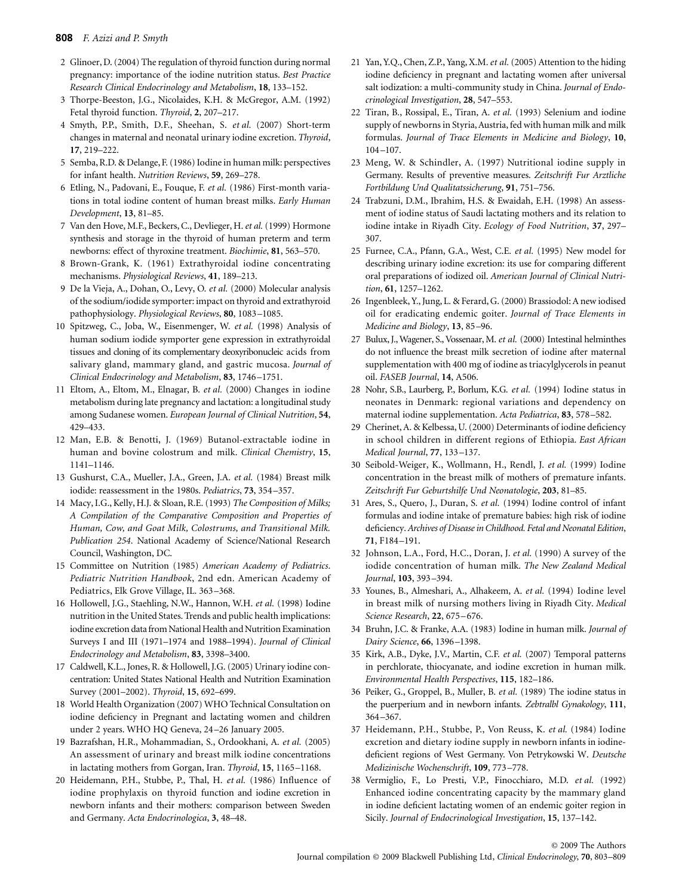- 2 Glinoer, D. (2004) The regulation of thyroid function during normal pregnancy: importance of the iodine nutrition status. *Best Practice Research Clinical Endocrinology and Metabolism*, **18**, 133–152.
- 3 Thorpe-Beeston, J.G., Nicolaides, K.H. & McGregor, A.M. (1992) Fetal thyroid function. *Thyroid*, **2**, 207–217.
- 4 Smyth, P.P., Smith, D.F., Sheehan, S. *et al.* (2007) Short-term changes in maternal and neonatal urinary iodine excretion. *Thyroid*, **17**, 219–222.
- 5 Semba, R.D. & Delange, F. (1986) Iodine in human milk: perspectives for infant health. *Nutrition Reviews*, **59**, 269–278.
- 6 Etling, N., Padovani, E., Fouque, F. *et al.* (1986) First-month variations in total iodine content of human breast milks. *Early Human Development*, **13**, 81–85.
- 7 Van den Hove, M.F., Beckers, C., Devlieger, H. *et al.* (1999) Hormone synthesis and storage in the thyroid of human preterm and term newborns: effect of thyroxine treatment. *Biochimie*, **81**, 563–570.
- 8 Brown-Grank, K. (1961) Extrathyroidal iodine concentrating mechanisms. *Physiological Reviews*, **41**, 189–213.
- 9 De la Vieja, A., Dohan, O., Levy, O. *et al.* (2000) Molecular analysis of the sodium/iodide symporter: impact on thyroid and extrathyroid pathophysiology. *Physiological Reviews*, **80**, 1083–1085.
- 10 Spitzweg, C., Joba, W., Eisenmenger, W. *et al.* (1998) Analysis of human sodium iodide symporter gene expression in extrathyroidal tissues and cloning of its complementary deoxyribonucleic acids from salivary gland, mammary gland, and gastric mucosa. *Journal of Clinical Endocrinology and Metabolism*, **83**, 1746–1751.
- 11 Eltom, A., Eltom, M., Elnagar, B. *et al.* (2000) Changes in iodine metabolism during late pregnancy and lactation: a longitudinal study among Sudanese women. *European Journal of Clinical Nutrition*, **54**, 429–433.
- 12 Man, E.B. & Benotti, J. (1969) Butanol-extractable iodine in human and bovine colostrum and milk. *Clinical Chemistry*, **15**, 1141–1146.
- 13 Gushurst, C.A., Mueller, J.A., Green, J.A. *et al.* (1984) Breast milk iodide: reassessment in the 1980s. *Pediatrics*, **73**, 354–357.
- 14 Macy, I.G., Kelly, H.J. & Sloan, R.E. (1993) *The Composition of Milks; A Compilation of the Comparative Composition and Properties of Human, Cow, and Goat Milk, Colostrums, and Transitional Milk. Publication 254*. National Academy of Science/National Research Council, Washington, DC.
- 15 Committee on Nutrition (1985) *American Academy of Pediatrics*. *Pediatric Nutrition Handbook*, 2nd edn. American Academy of Pediatrics, Elk Grove Village, IL. 363–368.
- 16 Hollowell, J.G., Staehling, N.W., Hannon, W.H. *et al.* (1998) Iodine nutrition in the United States. Trends and public health implications: iodine excretion data from National Health and Nutrition Examination Surveys I and III (1971–1974 and 1988–1994). *Journal of Clinical Endocrinology and Metabolism*, **83**, 3398–3400.
- 17 Caldwell, K.L., Jones, R. & Hollowell, J.G. (2005) Urinary iodine concentration: United States National Health and Nutrition Examination Survey (2001–2002). *Thyroid*, **15**, 692–699.
- 18 World Health Organization (2007) WHO Technical Consultation on iodine deficiency in Pregnant and lactating women and children under 2 years. WHO HQ Geneva, 24–26 January 2005.
- 19 Bazrafshan, H.R., Mohammadian, S., Ordookhani, A. *et al.* (2005) An assessment of urinary and breast milk iodine concentrations in lactating mothers from Gorgan, Iran. *Thyroid*, **15**, 1165–1168.
- 20 Heidemann, P.H., Stubbe, P., Thal, H. *et al.* (1986) Influence of iodine prophylaxis on thyroid function and iodine excretion in newborn infants and their mothers: comparison between Sweden and Germany. *Acta Endocrinologica*, **3**, 48–48.
- 21 Yan, Y.Q., Chen, Z.P., Yang, X.M. *et al.* (2005) Attention to the hiding iodine deficiency in pregnant and lactating women after universal salt iodization: a multi-community study in China. *Journal of Endocrinological Investigation*, **28**, 547–553.
- 22 Tiran, B., Rossipal, E., Tiran, A. *et al.* (1993) Selenium and iodine supply of newborns in Styria, Austria, fed with human milk and milk formulas. *Journal of Trace Elements in Medicine and Biology*, **10**, 104–107.
- 23 Meng, W. & Schindler, A. (1997) Nutritional iodine supply in Germany. Results of preventive measures. *Zeitschrift Fur Arztliche Fortbildung Und Qualitatssicherung*, **91**, 751–756.
- 24 Trabzuni, D.M., Ibrahim, H.S. & Ewaidah, E.H. (1998) An assessment of iodine status of Saudi lactating mothers and its relation to iodine intake in Riyadh City. *Ecology of Food Nutrition*, **37**, 297– 307.
- 25 Furnee, C.A., Pfann, G.A., West, C.E. *et al.* (1995) New model for describing urinary iodine excretion: its use for comparing different oral preparations of iodized oil. *American Journal of Clinical Nutrition*, **61**, 1257–1262.
- 26 Ingenbleek, Y., Jung, L. & Ferard, G. (2000) Brassiodol: A new iodised oil for eradicating endemic goiter. *Journal of Trace Elements in Medicine and Biology*, **13**, 85–96.
- 27 Bulux, J., Wagener, S., Vossenaar, M. *et al.* (2000) Intestinal helminthes do not influence the breast milk secretion of iodine after maternal supplementation with 400 mg of iodine as triacylglycerols in peanut oil. *FASEB Journal*, **14**, A506.
- 28 Nohr, S.B., Laurberg, P., Borlum, K.G. *et al.* (1994) Iodine status in neonates in Denmark: regional variations and dependency on maternal iodine supplementation. *Acta Pediatrica*, **83**, 578–582.
- 29 Cherinet, A. & Kelbessa, U. (2000) Determinants of iodine deficiency in school children in different regions of Ethiopia. *East African Medical Journal*, **77**, 133–137.
- 30 Seibold-Weiger, K., Wollmann, H., Rendl, J. *et al.* (1999) Iodine concentration in the breast milk of mothers of premature infants. *Zeitschrift Fur Geburtshilfe Und Neonatologie*, **203**, 81–85.
- 31 Ares, S., Quero, J., Duran, S. *et al.* (1994) Iodine control of infant formulas and iodine intake of premature babies: high risk of iodine deficiency. *Archives of Disease in Childhood. Fetal and Neonatal Edition*, **71**, F184–191.
- 32 Johnson, L.A., Ford, H.C., Doran, J. *et al.* (1990) A survey of the iodide concentration of human milk. *The New Zealand Medical Journal*, **103**, 393–394.
- 33 Younes, B., Almeshari, A., Alhakeem, A. *et al.* (1994) Iodine level in breast milk of nursing mothers living in Riyadh City. *Medical Science Research*, **22**, 675–676.
- 34 Bruhn, J.C. & Franke, A.A. (1983) Iodine in human milk. *Journal of Dairy Science*, **66**, 1396–1398.
- 35 Kirk, A.B., Dyke, J.V., Martin, C.F. *et al.* (2007) Temporal patterns in perchlorate, thiocyanate, and iodine excretion in human milk. *Environmental Health Perspectives*, **115**, 182–186.
- 36 Peiker, G., Groppel, B., Muller, B. *et al.* (1989) The iodine status in the puerperium and in newborn infants. *Zebtralbl Gynakology*, **111**, 364–367.
- 37 Heidemann, P.H., Stubbe, P., Von Reuss, K. *et al.* (1984) Iodine excretion and dietary iodine supply in newborn infants in iodinedeficient regions of West Germany. Von Petrykowski W. *Deutsche Medizinische Wochenschrift*, **109**, 773–778.
- 38 Vermiglio, F., Lo Presti, V.P., Finocchiaro, M.D. *et al.* (1992) Enhanced iodine concentrating capacity by the mammary gland in iodine deficient lactating women of an endemic goiter region in Sicily. *Journal of Endocrinological Investigation*, **15**, 137–142.